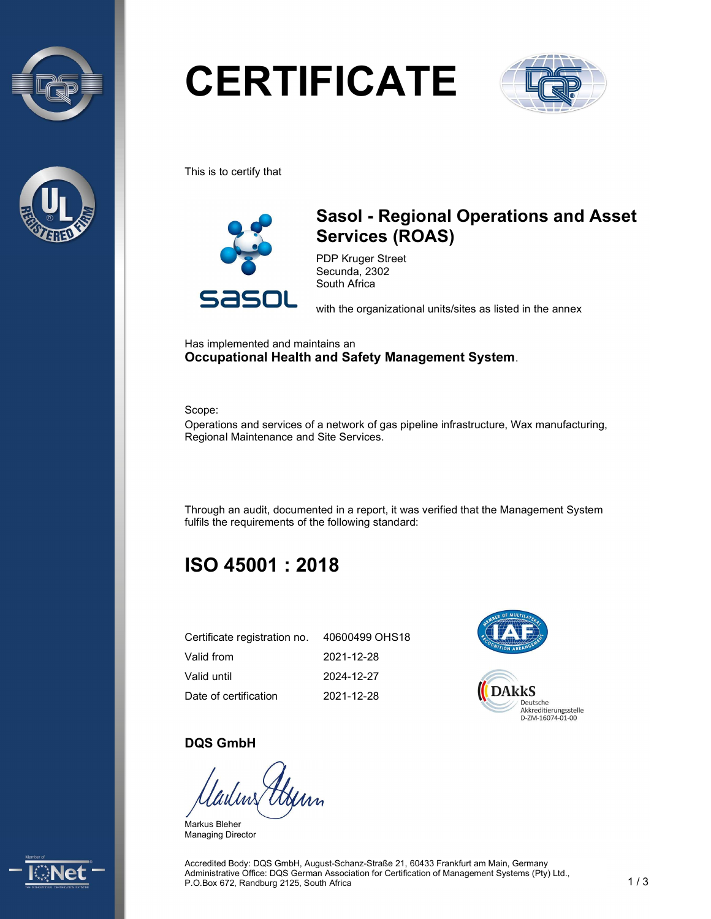



# **CERTIFICATE**



This is to certify that



## Sasol - Regional Operations and Asset Services (ROAS)

PDP Kruger Street Secunda, 2302 South Africa

with the organizational units/sites as listed in the annex

Has implemented and maintains an Occupational Health and Safety Management System.

Scope:

Operations and services of a network of gas pipeline infrastructure, Wax manufacturing, Regional Maintenance and Site Services.

Through an audit, documented in a report, it was verified that the Management System fulfils the requirements of the following standard:

## ISO 45001 : 2018

| Certificate registration no. | 40600499 OHS18 |
|------------------------------|----------------|
| Valid from                   | 2021-12-28     |
| Valid until                  | 2024-12-27     |
| Date of certification        | 2021-12-28     |



#### DQS GmbH

Markus Bleher Managing Director



Accredited Body: DQS GmbH, August-Schanz-Straße 21, 60433 Frankfurt am Main, Germany Administrative Office: DQS German Association for Certification of Management Systems (Pty) Ltd., P.O.Box 672, Randburg 2125, South Africa 1 1 3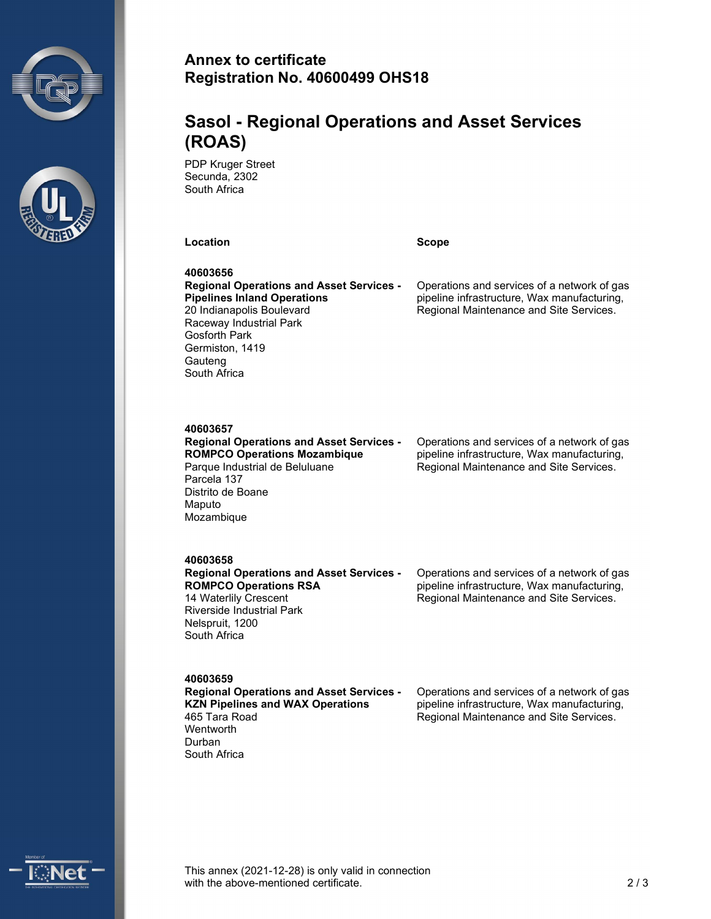



#### Annex to certificate Registration No. 40600499 OHS18

### Sasol - Regional Operations and Asset Services (ROAS)

PDP Kruger Street Secunda, 2302 South Africa

Location **Scope** Scope **Scope** 

40603656 Regional Operations and Asset Services - Pipelines Inland Operations 20 Indianapolis Boulevard Raceway Industrial Park Gosforth Park Germiston, 1419 **Gauteng** South Africa

Operations and services of a network of gas pipeline infrastructure, Wax manufacturing, Regional Maintenance and Site Services.

#### 40603657

Regional Operations and Asset Services - ROMPCO Operations Mozambique Parque Industrial de Beluluane Parcela 137 Distrito de Boane Maputo Mozambique

Operations and services of a network of gas pipeline infrastructure, Wax manufacturing, Regional Maintenance and Site Services.

#### 40603658

Regional Operations and Asset Services - ROMPCO Operations RSA 14 Waterlily Crescent Riverside Industrial Park Nelspruit, 1200 South Africa

Operations and services of a network of gas pipeline infrastructure, Wax manufacturing, Regional Maintenance and Site Services.

40603659

Regional Operations and Asset Services - KZN Pipelines and WAX Operations 465 Tara Road **Wentworth** Durban South Africa

Operations and services of a network of gas pipeline infrastructure, Wax manufacturing, Regional Maintenance and Site Services.



This annex (2021-12-28) is only valid in connection with the above-mentioned certificate. 2.2 a and 2.2 a  $\sim$  2.2 a  $\sim$  2.2 a  $\sim$  2.2 a  $\sim$  2.2 a  $\sim$  2.2 a  $\sim$  2.2 a  $\sim$  2.2 a  $\sim$  2.2 a  $\sim$  2.2 a  $\sim$  2.2 a  $\sim$  2.2 a  $\sim$  2.2 a  $\sim$  2.2 a  $\sim$  2.2 a  $\sim$  2.2 a  $\sim$